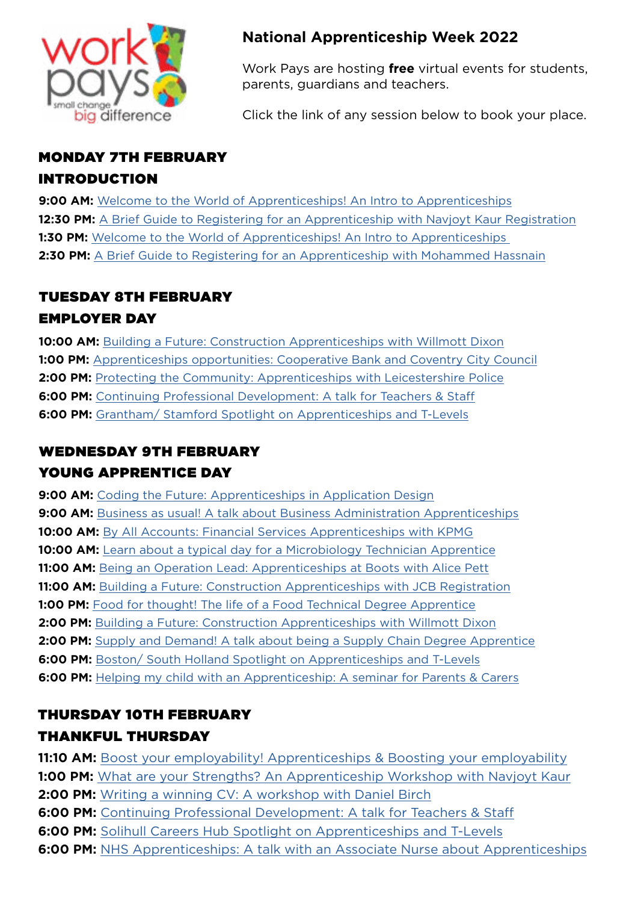

### **National Apprenticeship Week 2022**

Work Pays are hosting **free** virtual events for students, parents, guardians and teachers.

Click the link of any session below to book your place.

#### MONDAY 7TH FEBRUARY

#### INTRODUCTION

**9:00 AM:** [Welcome to the World of Apprenticeships! An Intro to Apprenticeships](https://www.eventbrite.co.uk/e/welcome-to-the-world-of-apprenticeships-an-intro-to-apprenticeships-registration-240119934187) **12:30 PM:** A Brief Guide to Registering for an Apprenticeship with Naviovt Kaur Registration **1:30 PM:** Welcome to the World of Apprenticeships! An Intro to Apprenticeships **2:30 PM:** [A Brief Guide to Registering for an Apprenticeship with Mohammed Hassnain](https://www.eventbrite.co.uk/e/a-brief-guide-to-registering-for-an-apprenticeship-with-mohammed-hassnain-registration-241288599697)

# TUESDAY 8TH FEBRUARY

### EMPLOYER DAY

**10:00 AM:** [Building a Future: Construction Apprenticeships with Willmott Dixon](https://www.eventbrite.co.uk/e/building-a-future-construction-apprenticeships-with-willmott-dixon-registration-245786573257) **1:00 PM:** [Apprenticeships opportunities: Cooperative Bank and Coventry City Council](https://www.eventbrite.co.uk/e/apprenticeships-opportunities-cooperative-bank-and-coventry-city-council-tickets-259044187137) **2:00 PM:** [Protecting the Community: Apprenticeships with Leicestershire Police](https://www.eventbrite.co.uk/e/protecting-the-community-apprenticeships-with-leicestershire-police-registration-242969727997) **6:00 PM:** [Continuing Professional Development: A talk for Teachers & Staff](https://www.eventbrite.co.uk/e/continuing-professional-development-a-talk-for-teachers-staff-registration-245837816527) **6:00 PM:** [Grantham/ Stamford Spotlight on Apprenticeships and T-Levels](https://www.eventbrite.co.uk/e/grantham-stamford-spotlight-on-apprenticeships-and-t-levels-registration-256692613517)

## WEDNESDAY 9TH FEBRUARY YOUNG APPRENTICE DAY

**9:00 AM:** [Coding the Future: Apprenticeships in Application Design](https://www.eventbrite.co.uk/e/coding-the-future-apprenticeships-in-application-design-registration-250058460587) **9:00 AM:** [Business as usual! A talk about Business Administration Apprenticeships](https://www.eventbrite.co.uk/e/business-as-usual-a-talk-about-business-administration-apprenticeships-registration-256018266527) **10:00 AM:** [By All Accounts: Financial Services Apprenticeships with KPMG](https://www.eventbrite.co.uk/e/by-all-accounts-financial-services-apprenticeships-with-kpmg-registration-245876181277) **10:00 AM:** [Learn about a typical day for a Microbiology Technician Apprentice](https://www.eventbrite.co.uk/e/learn-about-a-typical-day-for-a-microbiology-technician-apprentice-registration-245907805867) **11:00 AM:** [Being an Operation Lead: Apprenticeships at Boots with Alice Pett](https://www.eventbrite.co.uk/e/being-an-operation-lead-apprenticeships-at-boots-with-alice-pett-registration-255995759207) **11:00 AM:** [Building a Future: Construction Apprenticeships with JCB Registration](https://www.eventbrite.co.uk/e/building-a-future-construction-apprenticeships-with-jcb-registration-256079690247) **1:00 PM:** [Food for thought! The life of a Food Technical Degree Apprentice](https://www.eventbrite.co.uk/e/food-for-thought-the-life-of-a-food-technical-degree-apprentice-registration-256112207507) **2:00 PM:** [Building a Future: Construction Apprenticeships with Willmott Dixon](https://www.eventbrite.co.uk/e/building-a-future-construction-apprenticeships-with-willmott-dixon-registration-245810775647) **2:00 PM:** [Supply and Demand! A talk about being a Supply Chain Degree Apprentice](https://www.eventbrite.co.uk/e/supply-and-demand-a-talk-about-being-a-supply-chain-degree-apprentice-registration-256139790007) **6:00 PM:** [Boston/ South Holland Spotlight on Apprenticeships and T-Levels](https://www.eventbrite.co.uk/e/boston-south-holland-spotlight-on-apprenticeships-and-t-levels-registration-256695050807) **6:00 PM:** [Helping my child with an Apprenticeship: A seminar for Parents & Carers](https://www.eventbrite.co.uk/e/helping-my-child-with-an-apprenticeship-a-seminar-for-parents-carers-registration-256718641367)

## THURSDAY 10TH FEBRUARY

### THANKFUL THURSDAY

**11:10 AM:** [Boost your employability! Apprenticeships & Boosting your employability](https://www.eventbrite.co.uk/e/boost-your-employability-apprenticeships-boosting-your-employability-registration-242682268197) **1:00 PM:** [What are your Strengths? An Apprenticeship Workshop with Navjoyt Kaur](https://www.eventbrite.co.uk/e/what-are-your-strengths-an-apprenticeship-workshop-with-navjoyt-kaur-registration-242721355107) **2:00 PM:** [Writing a winning CV: A workshop with Daniel Birch](https://www.eventbrite.co.uk/e/writing-a-winning-cv-a-workshop-with-daniel-birch-registration-242749689857) **6:00 PM:** [Continuing Professional Development: A talk for Teachers & Staff](https://www.eventbrite.co.uk/e/continuing-professional-development-a-talk-for-teachers-staff-registration-245842309967) **6:00 PM:** [Solihull Careers Hub Spotlight on Apprenticeships and T-Levels](https://www.eventbrite.co.uk/e/solihull-careers-hub-spotlight-on-apprenticeships-and-t-levels-registration-250177536747) **6:00 PM:** [NHS Apprenticeships: A talk with an Associate Nurse about Apprenticeships](https://www.eventbrite.co.uk/e/nhs-apprenticeships-a-talk-with-an-associate-nurse-about-apprenticeships-registration-257926213247)